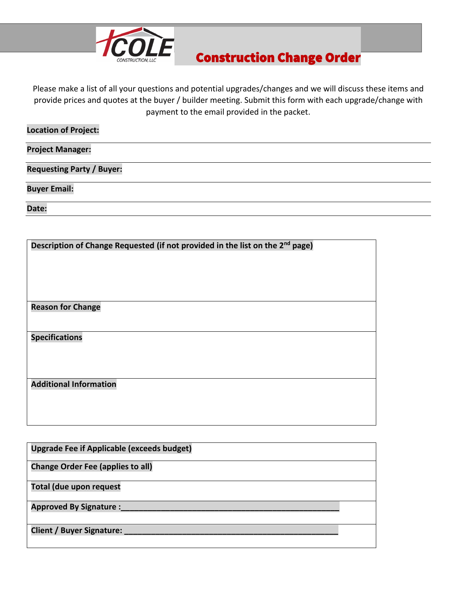

## Construction Change Order

Please make a list of all your questions and potential upgrades/changes and we will discuss these items and provide prices and quotes at the buyer / builder meeting. Submit this form with each upgrade/change with payment to the email provided in the packet.

| <b>Location of Project:</b>      |  |
|----------------------------------|--|
| <b>Project Manager:</b>          |  |
| <b>Requesting Party / Buyer:</b> |  |
| <b>Buyer Email:</b>              |  |
| Date:                            |  |
|                                  |  |

| Description of Change Requested (if not provided in the list on the 2 <sup>nd</sup> page) |  |  |  |  |
|-------------------------------------------------------------------------------------------|--|--|--|--|
|                                                                                           |  |  |  |  |
|                                                                                           |  |  |  |  |
|                                                                                           |  |  |  |  |
|                                                                                           |  |  |  |  |
| <b>Reason for Change</b>                                                                  |  |  |  |  |
|                                                                                           |  |  |  |  |
| <b>Specifications</b>                                                                     |  |  |  |  |
|                                                                                           |  |  |  |  |
|                                                                                           |  |  |  |  |
|                                                                                           |  |  |  |  |
| <b>Additional Information</b>                                                             |  |  |  |  |
|                                                                                           |  |  |  |  |
|                                                                                           |  |  |  |  |
|                                                                                           |  |  |  |  |

| <b>Upgrade Fee if Applicable (exceeds budget)</b> |  |
|---------------------------------------------------|--|
| <b>Change Order Fee (applies to all)</b>          |  |
| <b>Total (due upon request</b>                    |  |
| <b>Approved By Signature:</b>                     |  |
| Client / Buyer Signature:                         |  |